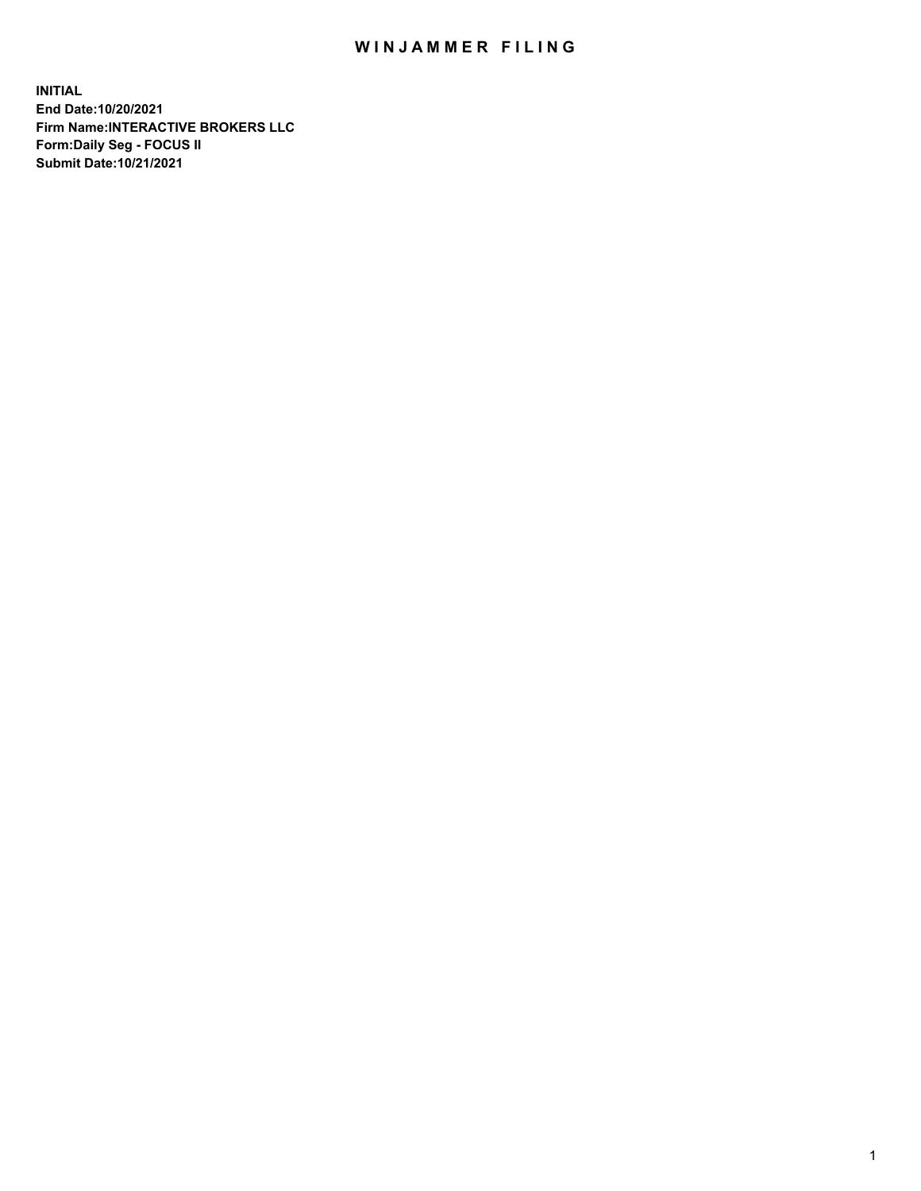## WIN JAMMER FILING

**INITIAL End Date:10/20/2021 Firm Name:INTERACTIVE BROKERS LLC Form:Daily Seg - FOCUS II Submit Date:10/21/2021**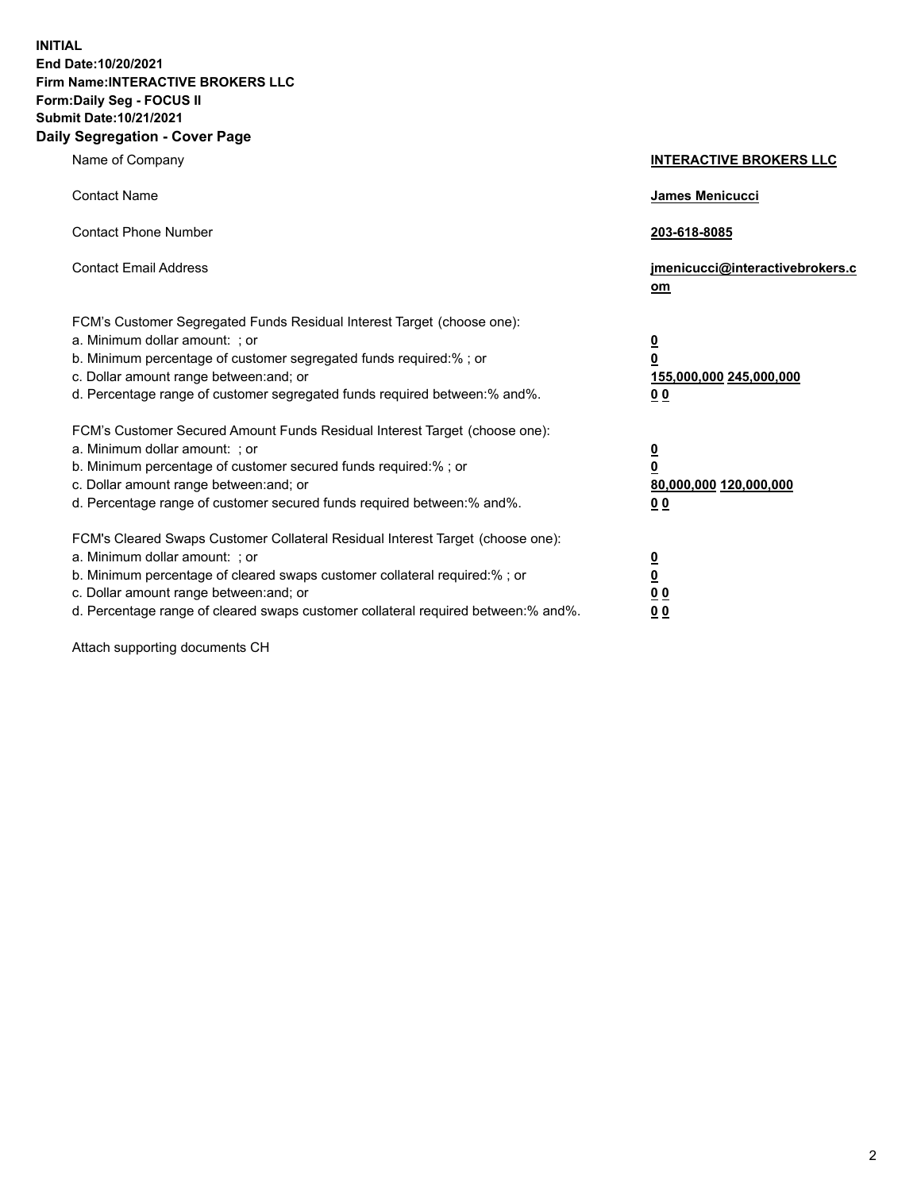**INITIAL End Date:10/20/2021 Firm Name:INTERACTIVE BROKERS LLC Form:Daily Seg - FOCUS II Submit Date:10/21/2021 Daily Segregation - Cover Page**

| Name of Company                                                                                                                                                                                                                                                                                                                | <b>INTERACTIVE BROKERS LLC</b>                                                                           |
|--------------------------------------------------------------------------------------------------------------------------------------------------------------------------------------------------------------------------------------------------------------------------------------------------------------------------------|----------------------------------------------------------------------------------------------------------|
| <b>Contact Name</b>                                                                                                                                                                                                                                                                                                            | James Menicucci                                                                                          |
| <b>Contact Phone Number</b>                                                                                                                                                                                                                                                                                                    | 203-618-8085                                                                                             |
| <b>Contact Email Address</b>                                                                                                                                                                                                                                                                                                   | jmenicucci@interactivebrokers.c<br>om                                                                    |
| FCM's Customer Segregated Funds Residual Interest Target (choose one):<br>a. Minimum dollar amount: ; or<br>b. Minimum percentage of customer segregated funds required:%; or<br>c. Dollar amount range between: and; or<br>d. Percentage range of customer segregated funds required between:% and%.                          | <u>0</u><br>$\overline{\mathbf{0}}$<br>155,000,000 245,000,000<br>0 <sub>0</sub>                         |
| FCM's Customer Secured Amount Funds Residual Interest Target (choose one):<br>a. Minimum dollar amount: ; or<br>b. Minimum percentage of customer secured funds required:%; or<br>c. Dollar amount range between: and; or<br>d. Percentage range of customer secured funds required between:% and%.                            | <u>0</u><br>$\overline{\mathbf{0}}$<br>80,000,000 120,000,000<br><u>00</u>                               |
| FCM's Cleared Swaps Customer Collateral Residual Interest Target (choose one):<br>a. Minimum dollar amount: ; or<br>b. Minimum percentage of cleared swaps customer collateral required:% ; or<br>c. Dollar amount range between: and; or<br>d. Percentage range of cleared swaps customer collateral required between:% and%. | $\overline{\mathbf{0}}$<br>$\underline{\mathbf{0}}$<br>$\underline{0}$ $\underline{0}$<br>0 <sub>0</sub> |

Attach supporting documents CH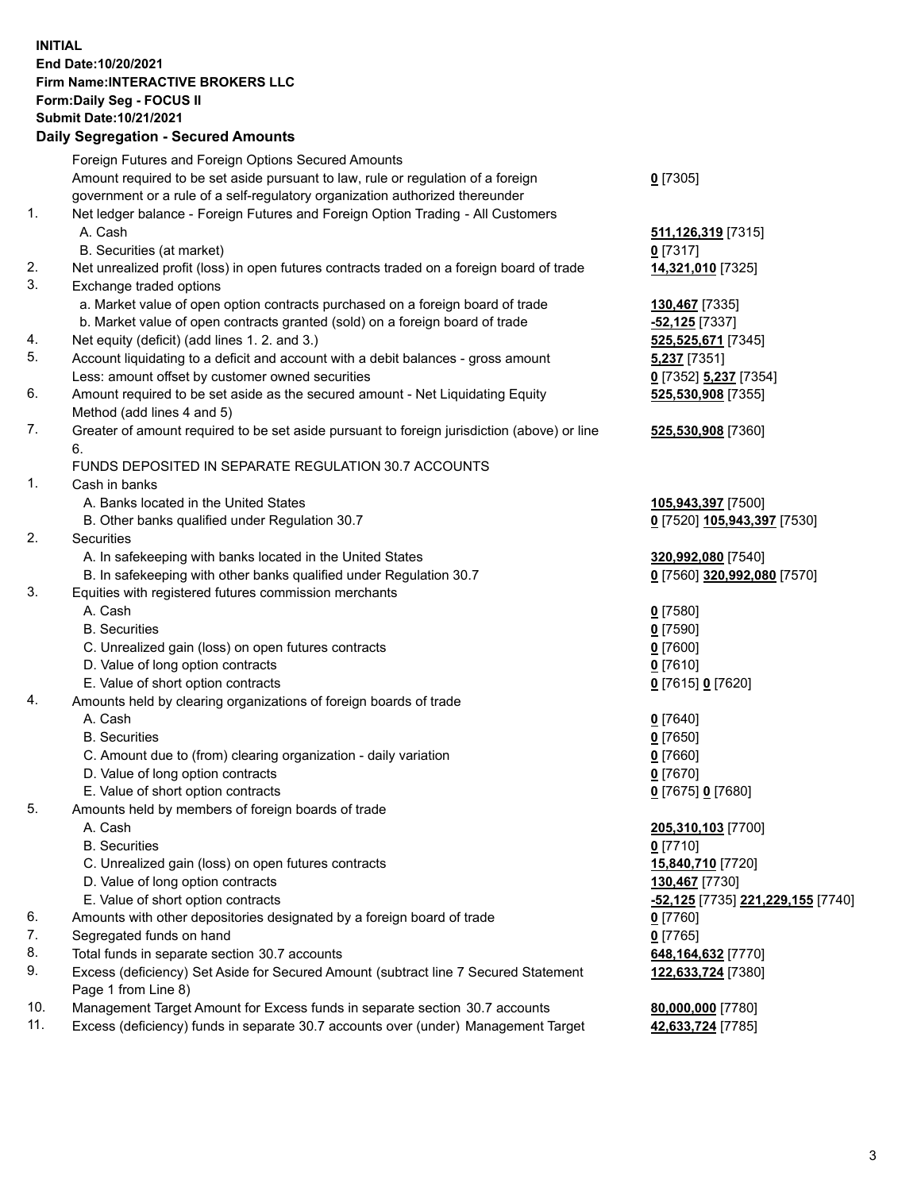## **INITIAL End Date:10/20/2021 Firm Name:INTERACTIVE BROKERS LLC Form:Daily Seg - FOCUS II Submit Date:10/21/2021 Daily Segregation - Secured Amounts**

|                | Daily Jegregation - Jeculed Aniounts                                                        |                                                |
|----------------|---------------------------------------------------------------------------------------------|------------------------------------------------|
|                | Foreign Futures and Foreign Options Secured Amounts                                         |                                                |
|                | Amount required to be set aside pursuant to law, rule or regulation of a foreign            | $0$ [7305]                                     |
|                | government or a rule of a self-regulatory organization authorized thereunder                |                                                |
| $\mathbf{1}$ . | Net ledger balance - Foreign Futures and Foreign Option Trading - All Customers             |                                                |
|                | A. Cash                                                                                     | 511, 126, 319 [7315]                           |
|                | B. Securities (at market)                                                                   | $0$ [7317]                                     |
| 2.             | Net unrealized profit (loss) in open futures contracts traded on a foreign board of trade   | 14,321,010 [7325]                              |
| 3.             | Exchange traded options                                                                     |                                                |
|                | a. Market value of open option contracts purchased on a foreign board of trade              | 130,467 [7335]                                 |
|                | b. Market value of open contracts granted (sold) on a foreign board of trade                | $-52,125$ [7337]                               |
| 4.             | Net equity (deficit) (add lines 1. 2. and 3.)                                               | 525,525,671 [7345]                             |
| 5.             | Account liquidating to a deficit and account with a debit balances - gross amount           | 5,237 [7351]                                   |
|                | Less: amount offset by customer owned securities                                            | 0 [7352] 5,237 [7354]                          |
| 6.             | Amount required to be set aside as the secured amount - Net Liquidating Equity              | 525,530,908 [7355]                             |
|                | Method (add lines 4 and 5)                                                                  |                                                |
| 7.             | Greater of amount required to be set aside pursuant to foreign jurisdiction (above) or line | 525,530,908 [7360]                             |
|                | 6.                                                                                          |                                                |
|                | FUNDS DEPOSITED IN SEPARATE REGULATION 30.7 ACCOUNTS                                        |                                                |
| 1.             | Cash in banks                                                                               |                                                |
|                | A. Banks located in the United States                                                       | 105,943,397 [7500]                             |
|                | B. Other banks qualified under Regulation 30.7                                              | 0 [7520] 105,943,397 [7530]                    |
| 2.             | Securities                                                                                  |                                                |
|                | A. In safekeeping with banks located in the United States                                   | 320,992,080 [7540]                             |
|                | B. In safekeeping with other banks qualified under Regulation 30.7                          | 0 [7560] 320,992,080 [7570]                    |
| 3.             | Equities with registered futures commission merchants                                       |                                                |
|                | A. Cash                                                                                     | $0$ [7580]                                     |
|                | <b>B.</b> Securities                                                                        | $0$ [7590]                                     |
|                | C. Unrealized gain (loss) on open futures contracts                                         | $0$ [7600]                                     |
|                | D. Value of long option contracts                                                           | $0$ [7610]                                     |
|                | E. Value of short option contracts                                                          | 0 [7615] 0 [7620]                              |
| 4.             | Amounts held by clearing organizations of foreign boards of trade                           |                                                |
|                | A. Cash                                                                                     | $Q$ [7640]                                     |
|                | <b>B.</b> Securities                                                                        | $0$ [7650]                                     |
|                | C. Amount due to (from) clearing organization - daily variation                             | $0$ [7660]                                     |
|                | D. Value of long option contracts                                                           | $0$ [7670]                                     |
|                | E. Value of short option contracts                                                          | 0 [7675] 0 [7680]                              |
| 5.             | Amounts held by members of foreign boards of trade                                          |                                                |
|                | A. Cash                                                                                     | 205,310,103 [7700]                             |
|                | <b>B.</b> Securities                                                                        | $0$ [7710]                                     |
|                | C. Unrealized gain (loss) on open futures contracts                                         | 15,840,710 [7720]                              |
|                | D. Value of long option contracts                                                           | 130,467 [7730]                                 |
|                | E. Value of short option contracts                                                          | <mark>-52,125</mark> [7735] 221,229,155 [7740] |
| 6.             | Amounts with other depositories designated by a foreign board of trade                      | 0 [7760]                                       |
| 7.             | Segregated funds on hand                                                                    | $0$ [7765]                                     |
| 8.             | Total funds in separate section 30.7 accounts                                               | 648,164,632 [7770]                             |
| 9.             | Excess (deficiency) Set Aside for Secured Amount (subtract line 7 Secured Statement         | 122,633,724 [7380]                             |
| 10.            | Page 1 from Line 8)                                                                         |                                                |
| 11.            | Management Target Amount for Excess funds in separate section 30.7 accounts                 | 80,000,000 [7780]                              |
|                | Excess (deficiency) funds in separate 30.7 accounts over (under) Management Target          | 42,633,724 [7785]                              |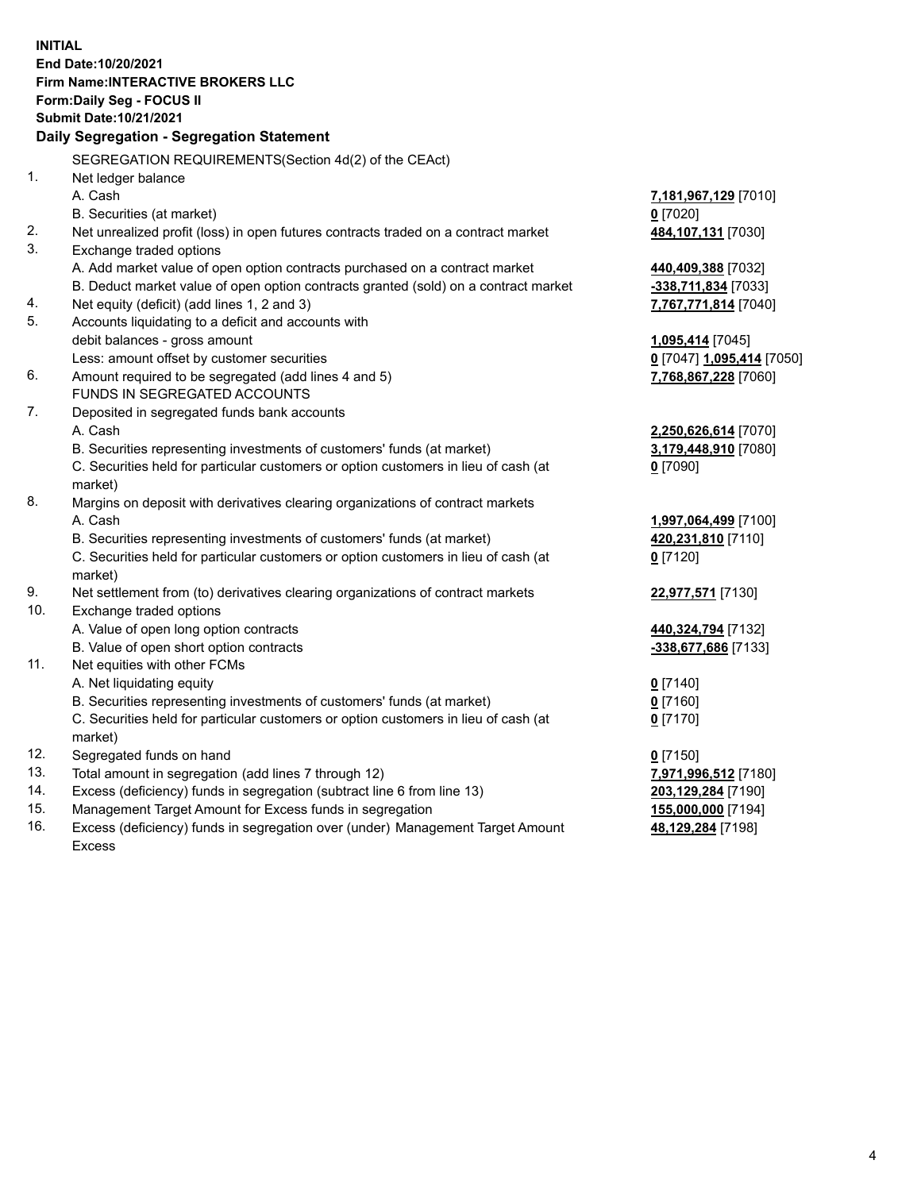**INITIAL End Date:10/20/2021 Firm Name:INTERACTIVE BROKERS LLC Form:Daily Seg - FOCUS II Submit Date:10/21/2021 Daily Segregation - Segregation Statement** SEGREGATION REQUIREMENTS(Section 4d(2) of the CEAct) 1. Net ledger balance A. Cash **7,181,967,129** [7010] B. Securities (at market) **0** [7020] 2. Net unrealized profit (loss) in open futures contracts traded on a contract market **484,107,131** [7030] 3. Exchange traded options A. Add market value of open option contracts purchased on a contract market **440,409,388** [7032] B. Deduct market value of open option contracts granted (sold) on a contract market **-338,711,834** [7033] 4. Net equity (deficit) (add lines 1, 2 and 3) **7,767,771,814** [7040] 5. Accounts liquidating to a deficit and accounts with debit balances - gross amount **1,095,414** [7045] Less: amount offset by customer securities **0** [7047] **1,095,414** [7050] 6. Amount required to be segregated (add lines 4 and 5) **7,768,867,228** [7060] FUNDS IN SEGREGATED ACCOUNTS 7. Deposited in segregated funds bank accounts A. Cash **2,250,626,614** [7070] B. Securities representing investments of customers' funds (at market) **3,179,448,910** [7080] C. Securities held for particular customers or option customers in lieu of cash (at market) **0** [7090] 8. Margins on deposit with derivatives clearing organizations of contract markets A. Cash **1,997,064,499** [7100] B. Securities representing investments of customers' funds (at market) **420,231,810** [7110] C. Securities held for particular customers or option customers in lieu of cash (at market) **0** [7120] 9. Net settlement from (to) derivatives clearing organizations of contract markets **22,977,571** [7130] 10. Exchange traded options A. Value of open long option contracts **440,324,794** [7132] B. Value of open short option contracts **-338,677,686** [7133] 11. Net equities with other FCMs A. Net liquidating equity **0** [7140] B. Securities representing investments of customers' funds (at market) **0** [7160] C. Securities held for particular customers or option customers in lieu of cash (at market) **0** [7170] 12. Segregated funds on hand **0** [7150] 13. Total amount in segregation (add lines 7 through 12) **7,971,996,512** [7180] 14. Excess (deficiency) funds in segregation (subtract line 6 from line 13) **203,129,284** [7190] 15. Management Target Amount for Excess funds in segregation **155,000,000** [7194] 16. Excess (deficiency) funds in segregation over (under) Management Target Amount **48,129,284** [7198]

Excess